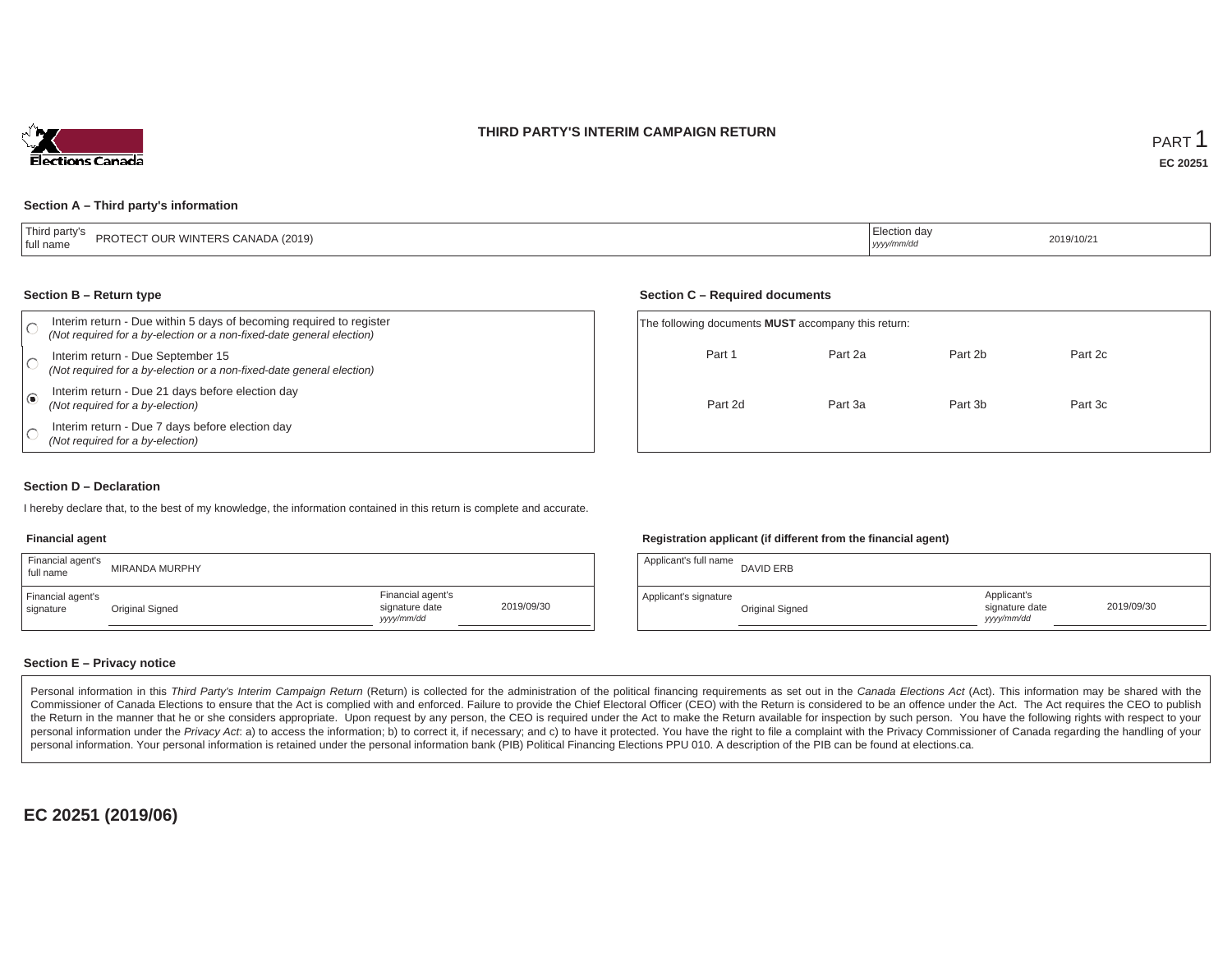### **THIRD PARTY'S INTERIM CAMPAIGN RETURN**



#### **Section A – Third party's information**

| $\overline{\phantom{a}}$<br>Third party's<br>ECT OUR WINTERS CANADA (2019)<br>PROTEC.<br>full name | Election dav<br>2019/10/21<br>yyyy/mm/d<br>. |  |
|----------------------------------------------------------------------------------------------------|----------------------------------------------|--|
|----------------------------------------------------------------------------------------------------|----------------------------------------------|--|

#### **Section B – Return type**

|                         | Interim return - Due within 5 days of becoming required to register<br>(Not required for a by-election or a non-fixed-date general election) | The following documents <b>MUST</b> accompany this return: |         |         |         |  |
|-------------------------|----------------------------------------------------------------------------------------------------------------------------------------------|------------------------------------------------------------|---------|---------|---------|--|
|                         | Interim return - Due September 15<br>(Not required for a by-election or a non-fixed-date general election)                                   | Part 1                                                     | Part 2a | Part 2b | Part 2c |  |
| $\overline{\mathbf{G}}$ | Interim return - Due 21 days before election day<br>(Not required for a by-election)                                                         | Part 2d                                                    | Part 3a | Part 3b | Part 3c |  |
|                         | Interim return - Due 7 days before election day<br>(Not required for a by-election)                                                          |                                                            |         |         |         |  |

#### **Section D – Declaration**

I hereby declare that, to the best of my knowledge, the information contained in this return is complete and accurate.

### **Financial agent**

| Financial agent's<br>full name | <b>MIRANDA MURPHY</b> |                                                  |            |
|--------------------------------|-----------------------|--------------------------------------------------|------------|
| Financial agent's<br>signature | Original Signed       | Financial agent's<br>signature date<br>vyy/mm/dd | 2019/09/30 |

#### **Registration applicant (if different from the financial agent)**

**Section C – Required documents**

| Applicant's full name | DAVID ERB       |                                            |            |
|-----------------------|-----------------|--------------------------------------------|------------|
| Applicant's signature | Original Signed | Applicant's<br>signature date<br>vyy/mm/dd | 2019/09/30 |

### **Section E – Privacy notice**

Personal information in this Third Party's Interim Campaign Return (Return) is collected for the administration of the political financing requirements as set out in the Canada Elections Act (Act). This information may be Commissioner of Canada Elections to ensure that the Act is complied with and enforced. Failure to provide the Chief Electoral Officer (CEO) with the Return is considered to be an offence under the Act. The Act requires the the Return in the manner that he or she considers appropriate. Upon request by any person, the CEO is required under the Act to make the Return available for inspection by such person. You have the following rights with re personal information under the Privacy Act. a) to access the information; b) to correct it, if necessary; and c) to have it protected. You have the right to file a complaint with the Privacy Commissioner of Canada regardin personal information. Your personal information is retained under the personal information bank (PIB) Political Financing Elections PPU 010. A description of the PIB can be found at elections.ca.

**EC 20251 (2019/06)**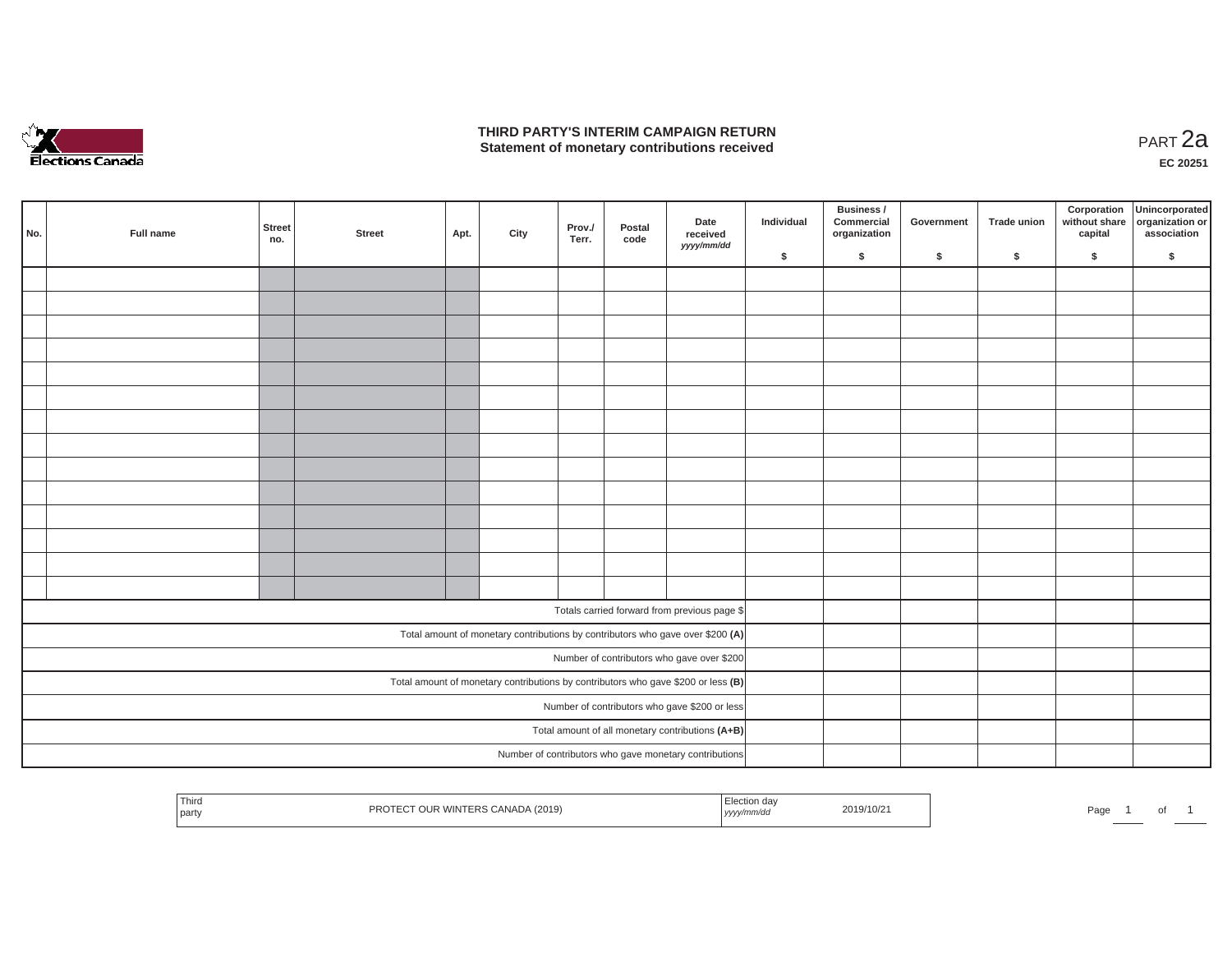

## **THIRD PARTY'S INTERIM CAMPAIGN RETURN THIRD PARTY'S INTERIM CAMPAIGN RETURN<br>Statement of monetary contributions received PART 2a**

| No. | Full name                                     | Street<br>no.                                                                       | <b>Street</b> | Apt. | City | Prov./<br>Terr. | Postal<br>code | Date<br>received<br>yyyy/mm/dd                                                 | Individual | Business /<br>Commercial<br>organization | Government | Trade union | Corporation | Unincorporated<br>without share<br>capital dissociation or<br>association |
|-----|-----------------------------------------------|-------------------------------------------------------------------------------------|---------------|------|------|-----------------|----------------|--------------------------------------------------------------------------------|------------|------------------------------------------|------------|-------------|-------------|---------------------------------------------------------------------------|
|     |                                               |                                                                                     |               |      |      |                 |                |                                                                                | \$         | \$                                       | $\sqrt{2}$ | \$          | \$          | \$                                                                        |
|     |                                               |                                                                                     |               |      |      |                 |                |                                                                                |            |                                          |            |             |             |                                                                           |
|     |                                               |                                                                                     |               |      |      |                 |                |                                                                                |            |                                          |            |             |             |                                                                           |
|     |                                               |                                                                                     |               |      |      |                 |                |                                                                                |            |                                          |            |             |             |                                                                           |
|     |                                               |                                                                                     |               |      |      |                 |                |                                                                                |            |                                          |            |             |             |                                                                           |
|     |                                               |                                                                                     |               |      |      |                 |                |                                                                                |            |                                          |            |             |             |                                                                           |
|     |                                               |                                                                                     |               |      |      |                 |                |                                                                                |            |                                          |            |             |             |                                                                           |
|     |                                               |                                                                                     |               |      |      |                 |                |                                                                                |            |                                          |            |             |             |                                                                           |
|     |                                               |                                                                                     |               |      |      |                 |                |                                                                                |            |                                          |            |             |             |                                                                           |
|     |                                               |                                                                                     |               |      |      |                 |                |                                                                                |            |                                          |            |             |             |                                                                           |
|     |                                               |                                                                                     |               |      |      |                 |                |                                                                                |            |                                          |            |             |             |                                                                           |
|     |                                               |                                                                                     |               |      |      |                 |                |                                                                                |            |                                          |            |             |             |                                                                           |
|     |                                               |                                                                                     |               |      |      |                 |                |                                                                                |            |                                          |            |             |             |                                                                           |
|     |                                               |                                                                                     |               |      |      |                 |                |                                                                                |            |                                          |            |             |             |                                                                           |
|     |                                               |                                                                                     |               |      |      |                 |                |                                                                                |            |                                          |            |             |             |                                                                           |
|     |                                               |                                                                                     |               |      |      |                 |                |                                                                                |            |                                          |            |             |             |                                                                           |
|     |                                               |                                                                                     |               |      |      |                 |                | Totals carried forward from previous page \$                                   |            |                                          |            |             |             |                                                                           |
|     |                                               |                                                                                     |               |      |      |                 |                | Total amount of monetary contributions by contributors who gave over \$200 (A) |            |                                          |            |             |             |                                                                           |
|     |                                               | Number of contributors who gave over \$200                                          |               |      |      |                 |                |                                                                                |            |                                          |            |             |             |                                                                           |
|     |                                               | Total amount of monetary contributions by contributors who gave \$200 or less $(B)$ |               |      |      |                 |                |                                                                                |            |                                          |            |             |             |                                                                           |
|     | Number of contributors who gave \$200 or less |                                                                                     |               |      |      |                 |                |                                                                                |            |                                          |            |             |             |                                                                           |
|     |                                               |                                                                                     |               |      |      |                 |                | Total amount of all monetary contributions (A+B)                               |            |                                          |            |             |             |                                                                           |
|     |                                               |                                                                                     |               |      |      |                 |                | Number of contributors who gave monetary contributions                         |            |                                          |            |             |             |                                                                           |

| Election day<br>1 hird<br>2019/10/21<br>PROTECT OUR WINTERS CANADA (2019)<br>.<br>party<br>yyyy/mm/de | Page |  |  |  |
|-------------------------------------------------------------------------------------------------------|------|--|--|--|
|-------------------------------------------------------------------------------------------------------|------|--|--|--|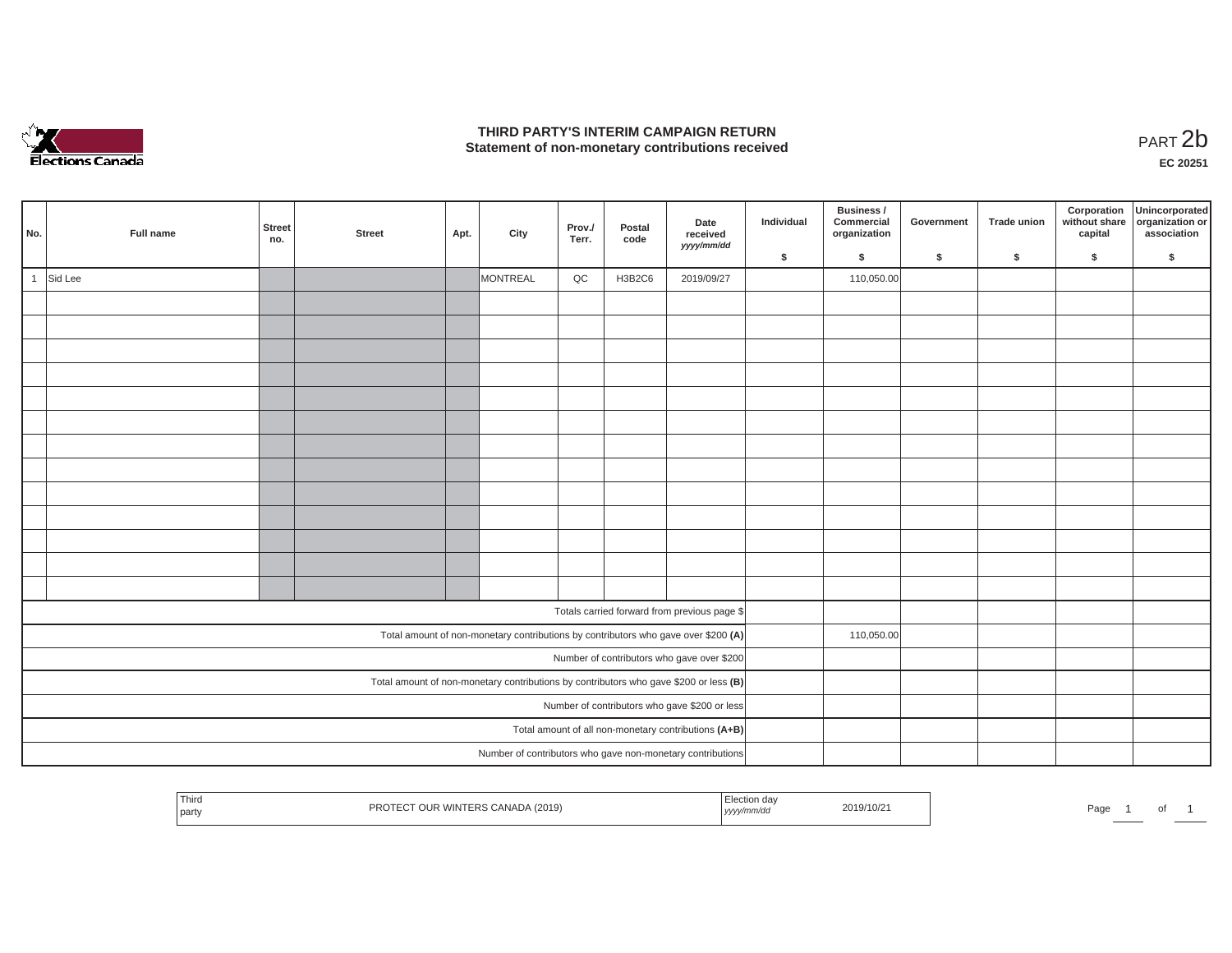

## **THIRD PARTY'S INTERIM CAMPAIGN RETURN**  THIRD PARTY'S INTERIM CAMPAIGN RETURN<br>Statement of non-monetary contributions received<br>**PART 2**b

**EC 20251**

| No.            | Full name                                                                             | Street<br>no. | <b>Street</b> | Apt. | City     | Prov./<br>Terr. | Postal<br>code | Date<br>received<br>yyyy/mm/dd                                                     | Individual | Business /<br>Commercial<br>organization | Government | Trade union | Corporation<br>without share<br>capital | Unincorporated<br>organization or<br>association |
|----------------|---------------------------------------------------------------------------------------|---------------|---------------|------|----------|-----------------|----------------|------------------------------------------------------------------------------------|------------|------------------------------------------|------------|-------------|-----------------------------------------|--------------------------------------------------|
|                |                                                                                       |               |               |      |          |                 |                |                                                                                    | \$         | $\mathsf{s}$                             | \$         | $\sqrt{2}$  | \$                                      | \$                                               |
| $\overline{1}$ | Sid Lee                                                                               |               |               |      | MONTREAL | QC              | H3B2C6         | 2019/09/27                                                                         |            | 110,050.00                               |            |             |                                         |                                                  |
|                |                                                                                       |               |               |      |          |                 |                |                                                                                    |            |                                          |            |             |                                         |                                                  |
|                |                                                                                       |               |               |      |          |                 |                |                                                                                    |            |                                          |            |             |                                         |                                                  |
|                |                                                                                       |               |               |      |          |                 |                |                                                                                    |            |                                          |            |             |                                         |                                                  |
|                |                                                                                       |               |               |      |          |                 |                |                                                                                    |            |                                          |            |             |                                         |                                                  |
|                |                                                                                       |               |               |      |          |                 |                |                                                                                    |            |                                          |            |             |                                         |                                                  |
|                |                                                                                       |               |               |      |          |                 |                |                                                                                    |            |                                          |            |             |                                         |                                                  |
|                |                                                                                       |               |               |      |          |                 |                |                                                                                    |            |                                          |            |             |                                         |                                                  |
|                |                                                                                       |               |               |      |          |                 |                |                                                                                    |            |                                          |            |             |                                         |                                                  |
|                |                                                                                       |               |               |      |          |                 |                |                                                                                    |            |                                          |            |             |                                         |                                                  |
|                |                                                                                       |               |               |      |          |                 |                |                                                                                    |            |                                          |            |             |                                         |                                                  |
|                |                                                                                       |               |               |      |          |                 |                |                                                                                    |            |                                          |            |             |                                         |                                                  |
|                |                                                                                       |               |               |      |          |                 |                |                                                                                    |            |                                          |            |             |                                         |                                                  |
|                |                                                                                       |               |               |      |          |                 |                |                                                                                    |            |                                          |            |             |                                         |                                                  |
|                |                                                                                       |               |               |      |          |                 |                | Totals carried forward from previous page \$                                       |            |                                          |            |             |                                         |                                                  |
|                |                                                                                       |               |               |      |          |                 |                | Total amount of non-monetary contributions by contributors who gave over \$200 (A) |            | 110,050.00                               |            |             |                                         |                                                  |
|                |                                                                                       |               |               |      |          |                 |                | Number of contributors who gave over \$200                                         |            |                                          |            |             |                                         |                                                  |
|                | Total amount of non-monetary contributions by contributors who gave \$200 or less (B) |               |               |      |          |                 |                |                                                                                    |            |                                          |            |             |                                         |                                                  |
|                | Number of contributors who gave \$200 or less                                         |               |               |      |          |                 |                |                                                                                    |            |                                          |            |             |                                         |                                                  |
|                |                                                                                       |               |               |      |          |                 |                | Total amount of all non-monetary contributions (A+B)                               |            |                                          |            |             |                                         |                                                  |
|                |                                                                                       |               |               |      |          |                 |                | Number of contributors who gave non-monetary contributions                         |            |                                          |            |             |                                         |                                                  |

| Third<br>l party | ADA (2019)<br>.<br>י צו ז<br><b>VVIIVII</b> | ,,,,, | 2019/10/21 | Page |  |
|------------------|---------------------------------------------|-------|------------|------|--|
|                  |                                             |       |            |      |  |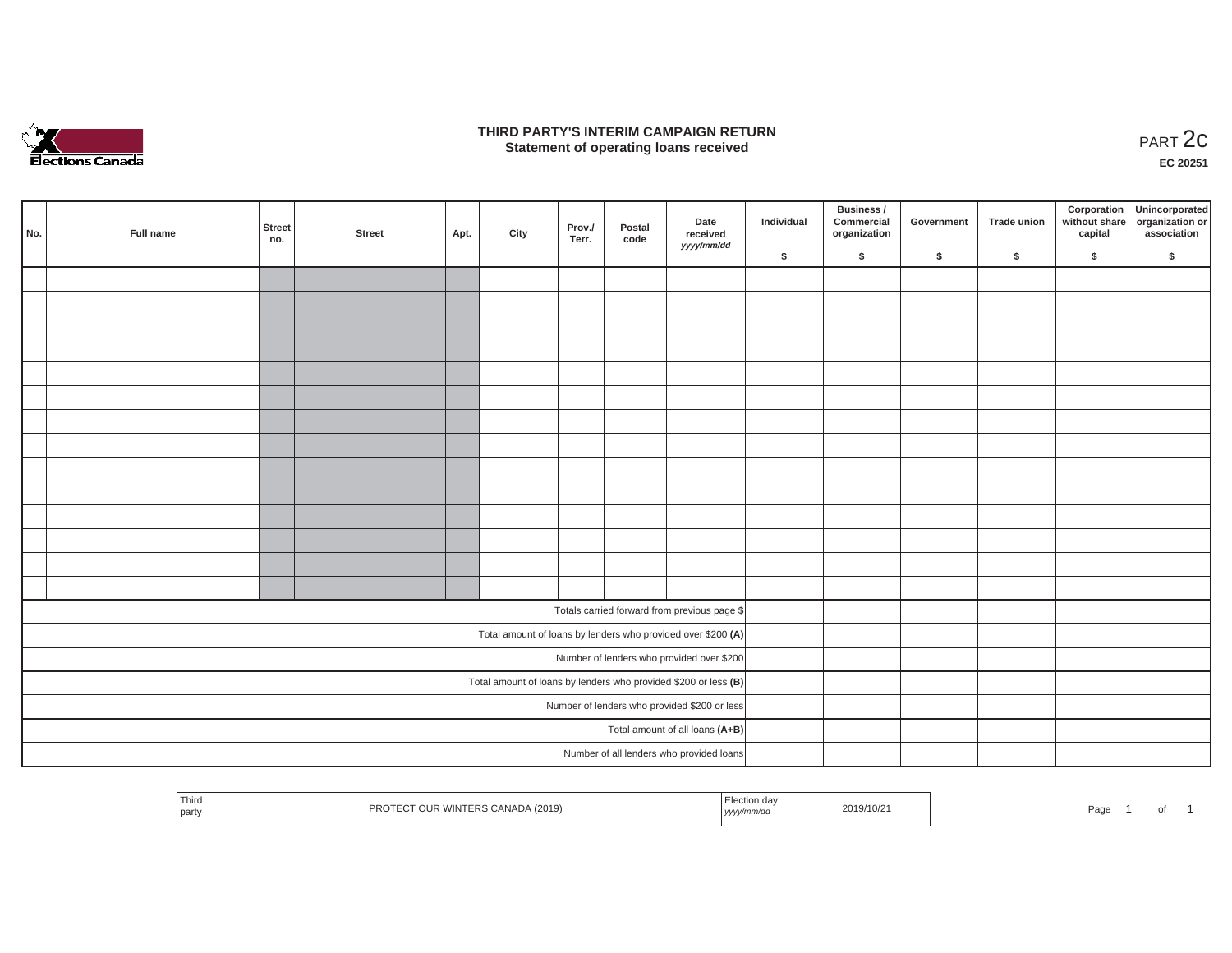

### **THIRD PARTY'S INTERIM CAMPAIGN RETURN**  RD PARTY'S INTERIM CAMPAIGN RETURN<br>Statement of operating loans received **PART 2c**

**EC 20251**

| No. | Full name | Street<br>no.                                | <b>Street</b> | Apt. | City | Prov./<br>Terr. | Postal<br>code | Date<br>received<br>yyyy/mm/dd                                  | Individual | <b>Business /</b><br>Commercial<br>organization | Government | Trade union | Corporation<br>capital | Unincorporated<br>without share organization or<br>association |
|-----|-----------|----------------------------------------------|---------------|------|------|-----------------|----------------|-----------------------------------------------------------------|------------|-------------------------------------------------|------------|-------------|------------------------|----------------------------------------------------------------|
|     |           |                                              |               |      |      |                 |                |                                                                 | \$         | \$                                              | \$         | \$          | \$                     | \$                                                             |
|     |           |                                              |               |      |      |                 |                |                                                                 |            |                                                 |            |             |                        |                                                                |
|     |           |                                              |               |      |      |                 |                |                                                                 |            |                                                 |            |             |                        |                                                                |
|     |           |                                              |               |      |      |                 |                |                                                                 |            |                                                 |            |             |                        |                                                                |
|     |           |                                              |               |      |      |                 |                |                                                                 |            |                                                 |            |             |                        |                                                                |
|     |           |                                              |               |      |      |                 |                |                                                                 |            |                                                 |            |             |                        |                                                                |
|     |           |                                              |               |      |      |                 |                |                                                                 |            |                                                 |            |             |                        |                                                                |
|     |           |                                              |               |      |      |                 |                |                                                                 |            |                                                 |            |             |                        |                                                                |
|     |           |                                              |               |      |      |                 |                |                                                                 |            |                                                 |            |             |                        |                                                                |
|     |           |                                              |               |      |      |                 |                |                                                                 |            |                                                 |            |             |                        |                                                                |
|     |           |                                              |               |      |      |                 |                |                                                                 |            |                                                 |            |             |                        |                                                                |
|     |           |                                              |               |      |      |                 |                |                                                                 |            |                                                 |            |             |                        |                                                                |
|     |           |                                              |               |      |      |                 |                |                                                                 |            |                                                 |            |             |                        |                                                                |
|     |           |                                              |               |      |      |                 |                |                                                                 |            |                                                 |            |             |                        |                                                                |
|     |           |                                              |               |      |      |                 |                |                                                                 |            |                                                 |            |             |                        |                                                                |
|     |           |                                              |               |      |      |                 |                |                                                                 |            |                                                 |            |             |                        |                                                                |
|     |           |                                              |               |      |      |                 |                | Totals carried forward from previous page \$                    |            |                                                 |            |             |                        |                                                                |
|     |           |                                              |               |      |      |                 |                | Total amount of loans by lenders who provided over \$200 (A)    |            |                                                 |            |             |                        |                                                                |
|     |           | Number of lenders who provided over \$200    |               |      |      |                 |                |                                                                 |            |                                                 |            |             |                        |                                                                |
|     |           |                                              |               |      |      |                 |                | Total amount of loans by lenders who provided \$200 or less (B) |            |                                                 |            |             |                        |                                                                |
|     |           | Number of lenders who provided \$200 or less |               |      |      |                 |                |                                                                 |            |                                                 |            |             |                        |                                                                |
|     |           |                                              |               |      |      |                 |                | Total amount of all loans (A+B)                                 |            |                                                 |            |             |                        |                                                                |
|     |           |                                              |               |      |      |                 |                | Number of all lenders who provided loans                        |            |                                                 |            |             |                        |                                                                |
|     |           |                                              |               |      |      |                 |                |                                                                 |            |                                                 |            |             |                        |                                                                |

| Third   |                                               | :lection day |            |      |  |
|---------|-----------------------------------------------|--------------|------------|------|--|
| ` partv | T OUR WINTERS CANADA (2019)<br><b>PROTECT</b> | , yyyy/mm/aa | 2019/10/21 | Page |  |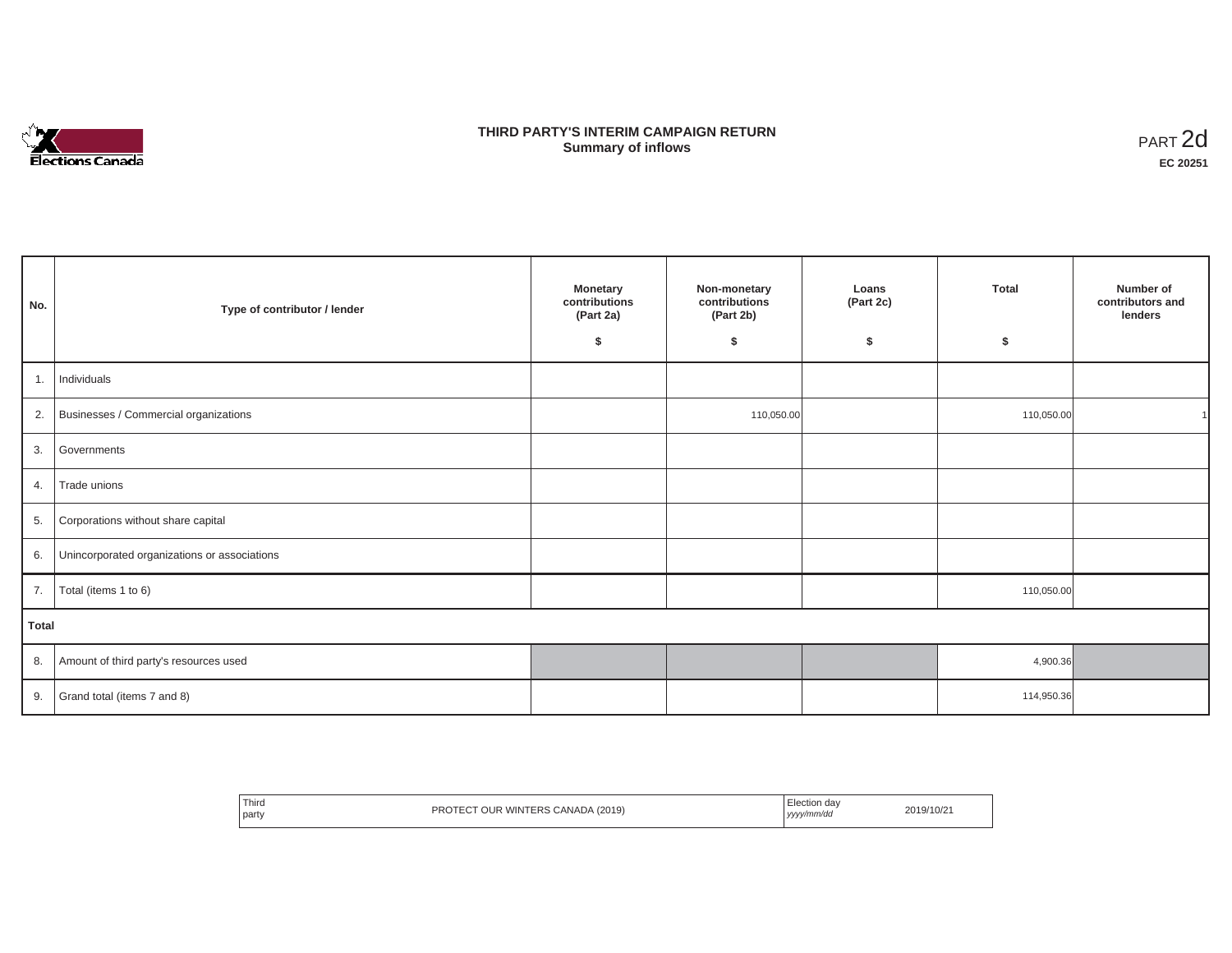

## **THIRD PARTY'S INTERIM CAMPAIGN RETURN SUMMARY STATE SUMMARY OF A SUMMARY OF A SUMMARY OF A SUMMARY OF A SUMMARY OF A SUMMARY OF A SUMMARY OF A SUMMA**<br> **Summary of inflows**

| No.          | Type of contributor / lender                 | <b>Monetary</b><br>contributions<br>(Part 2a)<br>\$ | Non-monetary<br>contributions<br>(Part 2b)<br>s. | Loans<br>(Part 2c)<br>\$ | <b>Total</b><br>\$ | Number of<br>contributors and<br>lenders |
|--------------|----------------------------------------------|-----------------------------------------------------|--------------------------------------------------|--------------------------|--------------------|------------------------------------------|
| 1.           | Individuals                                  |                                                     |                                                  |                          |                    |                                          |
| 2.           | Businesses / Commercial organizations        |                                                     | 110,050.00                                       |                          | 110,050.00         |                                          |
| 3.           | Governments                                  |                                                     |                                                  |                          |                    |                                          |
| 4.           | Trade unions                                 |                                                     |                                                  |                          |                    |                                          |
| 5.           | Corporations without share capital           |                                                     |                                                  |                          |                    |                                          |
| 6.           | Unincorporated organizations or associations |                                                     |                                                  |                          |                    |                                          |
| 7.           | Total (items 1 to 6)                         |                                                     |                                                  |                          | 110,050.00         |                                          |
| <b>Total</b> |                                              |                                                     |                                                  |                          |                    |                                          |
| 8.           | Amount of third party's resources used       |                                                     |                                                  |                          | 4,900.36           |                                          |
| 9.           | Grand total (items 7 and 8)                  |                                                     |                                                  |                          | 114,950.36         |                                          |

| ' Third                             | Election dav |
|-------------------------------------|--------------|
|                                     |              |
| OUR WINTERS CANADA (2019)           | 2019/10/21   |
| PRC                                 | ww/mm/dd     |
| the contract of the contract of the | ,,,,         |
| party                               |              |
| LV.                                 | .            |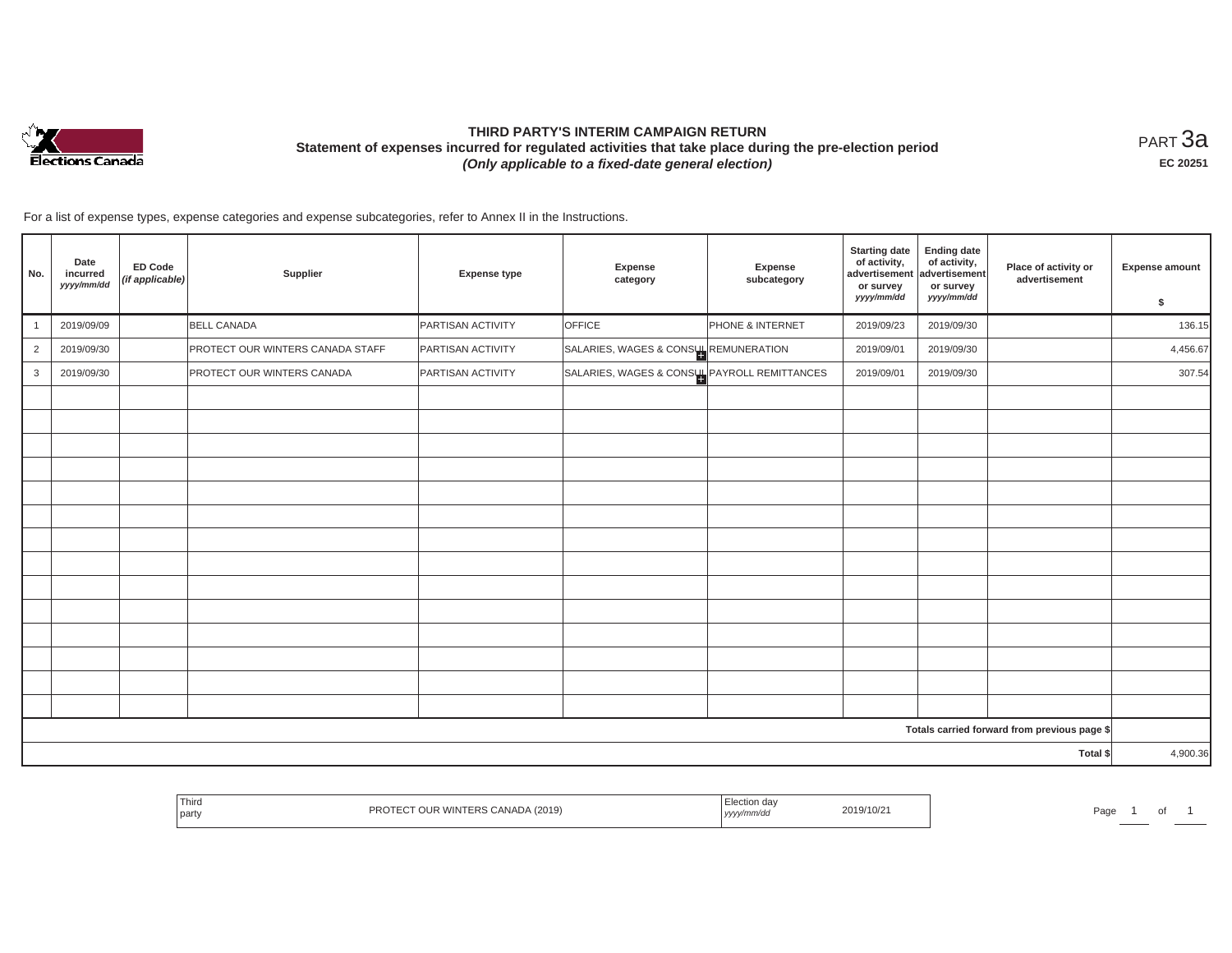

# **THIRD PARTY'S INTERIM CAMPAIGN RETURN Statement of expenses incurred for regulated activities that take place during the pre-election period**  *(Only applicable to a fixed-date general election)*

<code>PART $3$ a</code> **EC 20251**

For a list of expense types, expense categories and expense subcategories, refer to Annex II in the Instructions.

| No.            | Date<br>incurred<br>yyyy/mm/dd | ED Code<br>(if applicable) | Supplier                         | <b>Expense type</b> | <b>Expense</b><br>category                            | Expense<br>subcategory | <b>Starting date</b><br>of activity,<br>advertisement<br>or survey<br>yyyy/mm/dd | <b>Ending date</b><br>of activity,<br>advertisement<br>or survey<br>yyyy/mm/dd | Place of activity or<br>advertisement        | <b>Expense amount</b><br>\$ |
|----------------|--------------------------------|----------------------------|----------------------------------|---------------------|-------------------------------------------------------|------------------------|----------------------------------------------------------------------------------|--------------------------------------------------------------------------------|----------------------------------------------|-----------------------------|
|                | 2019/09/09                     |                            | <b>BELL CANADA</b>               | PARTISAN ACTIVITY   | <b>OFFICE</b>                                         | PHONE & INTERNET       | 2019/09/23                                                                       | 2019/09/30                                                                     |                                              | 136.15                      |
| $\overline{2}$ | 2019/09/30                     |                            | PROTECT OUR WINTERS CANADA STAFF | PARTISAN ACTIVITY   | $\big $ SALARIES, WAGES & CONS $\bigcup$ REMUNERATION |                        | 2019/09/01                                                                       | 2019/09/30                                                                     |                                              | 4,456.67                    |
| 3              | 2019/09/30                     |                            | PROTECT OUR WINTERS CANADA       | PARTISAN ACTIVITY   | SALARIES, WAGES & CONSUL PAYROLL REMITTANCES          |                        | 2019/09/01                                                                       | 2019/09/30                                                                     |                                              | 307.54                      |
|                |                                |                            |                                  |                     |                                                       |                        |                                                                                  |                                                                                |                                              |                             |
|                |                                |                            |                                  |                     |                                                       |                        |                                                                                  |                                                                                |                                              |                             |
|                |                                |                            |                                  |                     |                                                       |                        |                                                                                  |                                                                                |                                              |                             |
|                |                                |                            |                                  |                     |                                                       |                        |                                                                                  |                                                                                |                                              |                             |
|                |                                |                            |                                  |                     |                                                       |                        |                                                                                  |                                                                                |                                              |                             |
|                |                                |                            |                                  |                     |                                                       |                        |                                                                                  |                                                                                |                                              |                             |
|                |                                |                            |                                  |                     |                                                       |                        |                                                                                  |                                                                                |                                              |                             |
|                |                                |                            |                                  |                     |                                                       |                        |                                                                                  |                                                                                |                                              |                             |
|                |                                |                            |                                  |                     |                                                       |                        |                                                                                  |                                                                                |                                              |                             |
|                |                                |                            |                                  |                     |                                                       |                        |                                                                                  |                                                                                |                                              |                             |
|                |                                |                            |                                  |                     |                                                       |                        |                                                                                  |                                                                                |                                              |                             |
|                |                                |                            |                                  |                     |                                                       |                        |                                                                                  |                                                                                |                                              |                             |
|                |                                |                            |                                  |                     |                                                       |                        |                                                                                  |                                                                                |                                              |                             |
|                |                                |                            |                                  |                     |                                                       |                        |                                                                                  |                                                                                |                                              |                             |
|                |                                |                            |                                  |                     |                                                       |                        |                                                                                  |                                                                                | Totals carried forward from previous page \$ |                             |
|                |                                |                            |                                  |                     |                                                       |                        |                                                                                  |                                                                                | Total \$                                     | 4,900.36                    |

| Third<br>CANADA (2019)<br><sup>ำ</sup> WINTE⊾<br>. $KOTFC$<br>11H<br>party | n dav<br>2019/10/2<br>, yyyy/mm/aa | Page<br>$\sim$<br>ັ |
|----------------------------------------------------------------------------|------------------------------------|---------------------|
|----------------------------------------------------------------------------|------------------------------------|---------------------|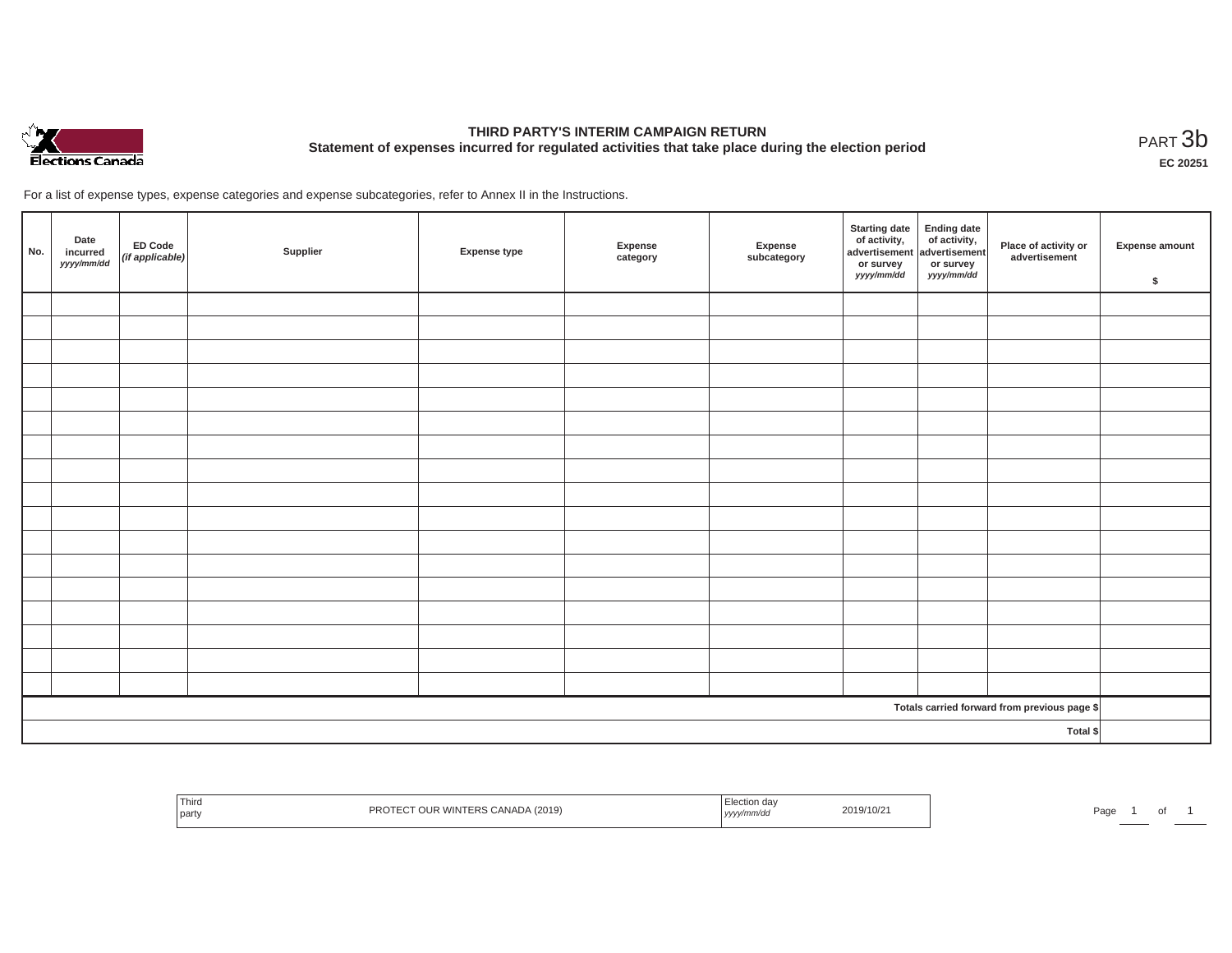

# **THIRD PARTY'S INTERIM CAMPAIGN RETURN Statement of expenses incurred for regulated activities that take place during the election period**<br>РАRТ  $3\mathrm{b}$

**EC 20251**

For a list of expense types, expense categories and expense subcategories, refer to Annex II in the Instructions.

| No.                                          | Date<br>incurred<br>yyyy/mm/dd | ED Code<br>(if applicable) | Supplier | <b>Expense type</b> | Expense<br>category | Expense<br>subcategory | Starting date<br>of activity,<br>advertisement<br>or survey<br>yyyy/mm/dd | Ending date<br>of activity,<br>advertisement<br>or survey<br>yyyy/mm/dd | Place of activity or<br>advertisement | Expense amount<br>\$ |
|----------------------------------------------|--------------------------------|----------------------------|----------|---------------------|---------------------|------------------------|---------------------------------------------------------------------------|-------------------------------------------------------------------------|---------------------------------------|----------------------|
|                                              |                                |                            |          |                     |                     |                        |                                                                           |                                                                         |                                       |                      |
|                                              |                                |                            |          |                     |                     |                        |                                                                           |                                                                         |                                       |                      |
|                                              |                                |                            |          |                     |                     |                        |                                                                           |                                                                         |                                       |                      |
|                                              |                                |                            |          |                     |                     |                        |                                                                           |                                                                         |                                       |                      |
|                                              |                                |                            |          |                     |                     |                        |                                                                           |                                                                         |                                       |                      |
|                                              |                                |                            |          |                     |                     |                        |                                                                           |                                                                         |                                       |                      |
|                                              |                                |                            |          |                     |                     |                        |                                                                           |                                                                         |                                       |                      |
|                                              |                                |                            |          |                     |                     |                        |                                                                           |                                                                         |                                       |                      |
|                                              |                                |                            |          |                     |                     |                        |                                                                           |                                                                         |                                       |                      |
|                                              |                                |                            |          |                     |                     |                        |                                                                           |                                                                         |                                       |                      |
|                                              |                                |                            |          |                     |                     |                        |                                                                           |                                                                         |                                       |                      |
|                                              |                                |                            |          |                     |                     |                        |                                                                           |                                                                         |                                       |                      |
|                                              |                                |                            |          |                     |                     |                        |                                                                           |                                                                         |                                       |                      |
|                                              |                                |                            |          |                     |                     |                        |                                                                           |                                                                         |                                       |                      |
|                                              |                                |                            |          |                     |                     |                        |                                                                           |                                                                         |                                       |                      |
|                                              |                                |                            |          |                     |                     |                        |                                                                           |                                                                         |                                       |                      |
|                                              |                                |                            |          |                     |                     |                        |                                                                           |                                                                         |                                       |                      |
| Totals carried forward from previous page \$ |                                |                            |          |                     |                     |                        |                                                                           |                                                                         |                                       |                      |
| Total \$                                     |                                |                            |          |                     |                     |                        |                                                                           |                                                                         |                                       |                      |

| Third<br>(2019)<br>PRU.<br>  party | 2019/10/21<br>yyyy/mm/dd | Page |
|------------------------------------|--------------------------|------|
|------------------------------------|--------------------------|------|